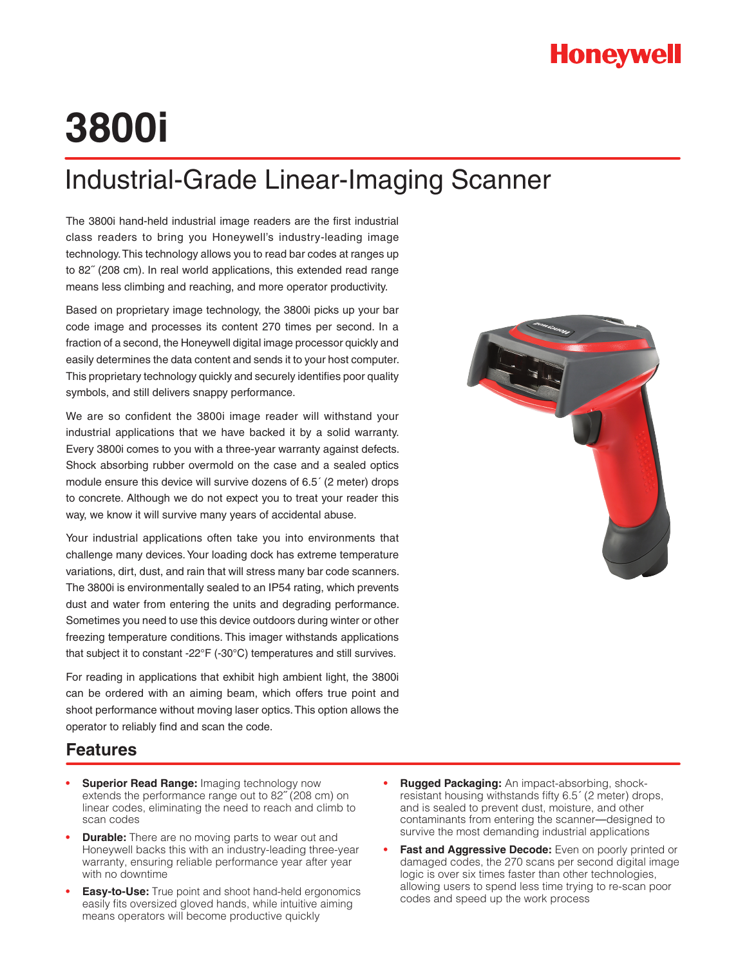## **Honeywell**

# **3800i**

## Industrial-Grade Linear-Imaging Scanner

The 3800i hand-held industrial image readers are the first industrial class readers to bring you Honeywell's industry-leading image technology. This technology allows you to read bar codes at ranges up to 82˝ (208 cm). In real world applications, this extended read range means less climbing and reaching, and more operator productivity.

Based on proprietary image technology, the 3800i picks up your bar code image and processes its content 270 times per second. In a fraction of a second, the Honeywell digital image processor quickly and easily determines the data content and sends it to your host computer. This proprietary technology quickly and securely identifies poor quality symbols, and still delivers snappy performance.

We are so confident the 3800i image reader will withstand your industrial applications that we have backed it by a solid warranty. Every 3800i comes to you with a three-year warranty against defects. Shock absorbing rubber overmold on the case and a sealed optics module ensure this device will survive dozens of 6.5´ (2 meter) drops to concrete. Although we do not expect you to treat your reader this way, we know it will survive many years of accidental abuse.

Your industrial applications often take you into environments that challenge many devices. Your loading dock has extreme temperature variations, dirt, dust, and rain that will stress many bar code scanners. The 3800i is environmentally sealed to an IP54 rating, which prevents dust and water from entering the units and degrading performance. Sometimes you need to use this device outdoors during winter or other freezing temperature conditions. This imager withstands applications that subject it to constant -22°F (-30°C) temperatures and still survives.

For reading in applications that exhibit high ambient light, the 3800i can be ordered with an aiming beam, which offers true point and shoot performance without moving laser optics. This option allows the operator to reliably find and scan the code.

#### **Features**

- **Superior Read Range: Imaging technology now** extends the performance range out to 82˝ (208 cm) on linear codes, eliminating the need to reach and climb to scan codes
- **Durable:** There are no moving parts to wear out and Honeywell backs this with an industry-leading three-year warranty, ensuring reliable performance year after year with no downtime
- **Easy-to-Use:** True point and shoot hand-held ergonomics easily fits oversized gloved hands, while intuitive aiming means operators will become productive quickly
- **Rugged Packaging:** An impact-absorbing, shockresistant housing withstands fifty 6.5´ (2 meter) drops, and is sealed to prevent dust, moisture, and other contaminants from entering the scanner—designed to survive the most demanding industrial applications
- **Fast and Aggressive Decode:** Even on poorly printed or damaged codes, the 270 scans per second digital image logic is over six times faster than other technologies, allowing users to spend less time trying to re-scan poor codes and speed up the work process